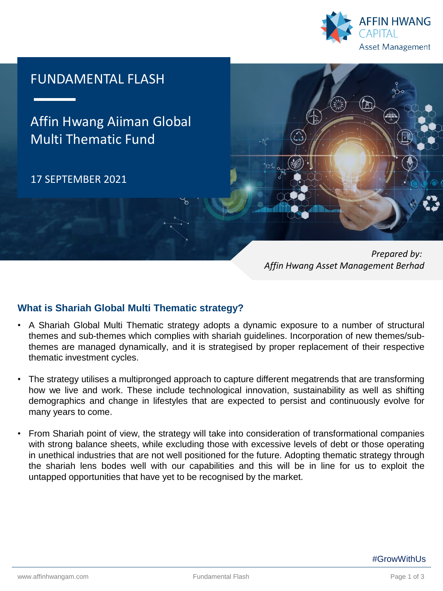

# FUNDAMENTAL FLASH

Affin Hwang Aiiman Global Multi Thematic Fund

17 SEPTEMBER 2021



*Prepared by: Affin Hwang Asset Management Berhad*

## **What is Shariah Global Multi Thematic strategy?**

- A Shariah Global Multi Thematic strategy adopts a dynamic exposure to a number of structural themes and sub-themes which complies with shariah guidelines. Incorporation of new themes/subthemes are managed dynamically, and it is strategised by proper replacement of their respective thematic investment cycles.
- The strategy utilises a multipronged approach to capture different megatrends that are transforming how we live and work. These include technological innovation, sustainability as well as shifting demographics and change in lifestyles that are expected to persist and continuously evolve for many years to come.
- From Shariah point of view, the strategy will take into consideration of transformational companies with strong balance sheets, while excluding those with excessive levels of debt or those operating in unethical industries that are not well positioned for the future. Adopting thematic strategy through the shariah lens bodes well with our capabilities and this will be in line for us to exploit the untapped opportunities that have yet to be recognised by the market.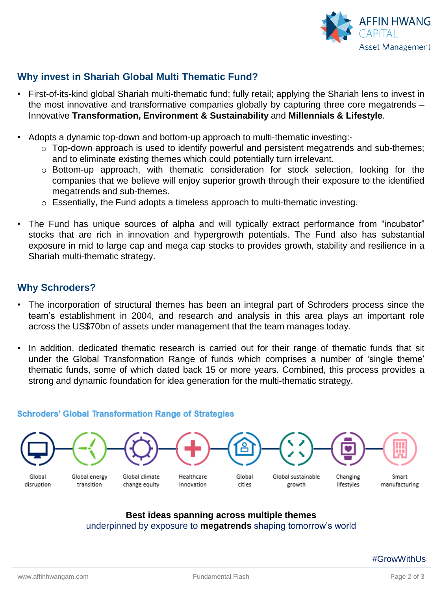

# **Why invest in Shariah Global Multi Thematic Fund?**

- First-of-its-kind global Shariah multi-thematic fund; fully retail; applying the Shariah lens to invest in the most innovative and transformative companies globally by capturing three core megatrends – Innovative **Transformation, Environment & Sustainability** and **Millennials & Lifestyle**.
- Adopts a dynamic top-down and bottom-up approach to multi-thematic investing:
	- o Top-down approach is used to identify powerful and persistent megatrends and sub-themes; and to eliminate existing themes which could potentially turn irrelevant.
	- o Bottom-up approach, with thematic consideration for stock selection, looking for the companies that we believe will enjoy superior growth through their exposure to the identified megatrends and sub-themes.
	- $\circ$  Essentially, the Fund adopts a timeless approach to multi-thematic investing.
- The Fund has unique sources of alpha and will typically extract performance from "incubator" stocks that are rich in innovation and hypergrowth potentials. The Fund also has substantial exposure in mid to large cap and mega cap stocks to provides growth, stability and resilience in a Shariah multi-thematic strategy.

### **Why Schroders?**

- The incorporation of structural themes has been an integral part of Schroders process since the team's establishment in 2004, and research and analysis in this area plays an important role across the US\$70bn of assets under management that the team manages today.
- In addition, dedicated thematic research is carried out for their range of thematic funds that sit under the Global Transformation Range of funds which comprises a number of 'single theme' thematic funds, some of which dated back 15 or more years. Combined, this process provides a strong and dynamic foundation for idea generation for the multi-thematic strategy.

### **Schroders' Global Transformation Range of Strategies**



### **Best ideas spanning across multiple themes**  underpinned by exposure to **megatrends** shaping tomorrow's world